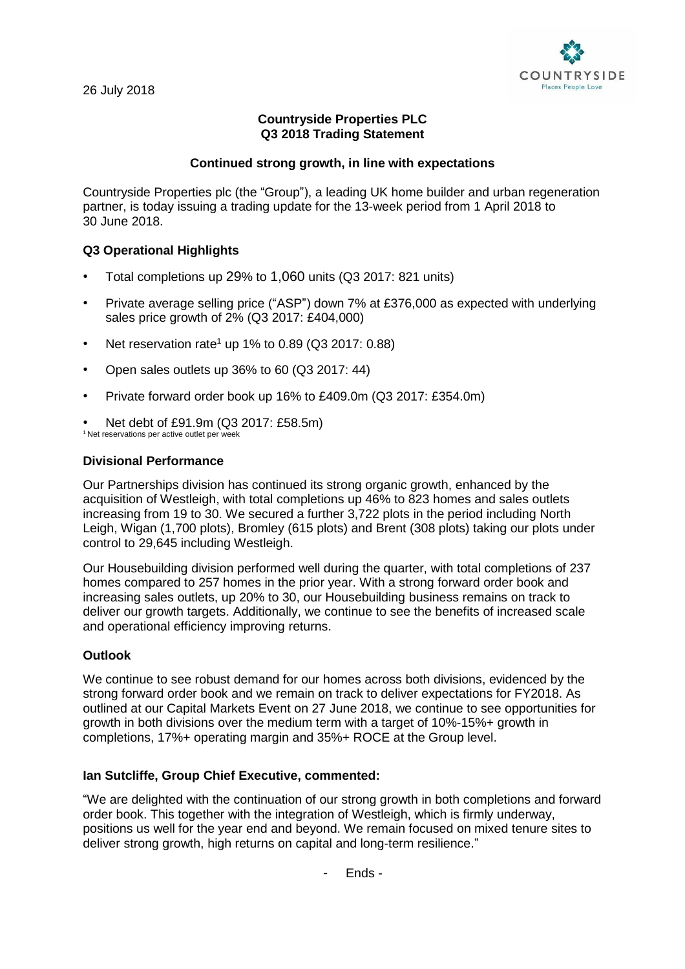# **Countryside Properties PLC Q3 2018 Trading Statement**

## **Continued strong growth, in line with expectations**

Countryside Properties plc (the "Group"), a leading UK home builder and urban regeneration partner, is today issuing a trading update for the 13-week period from 1 April 2018 to 30 June 2018.

# **Q3 Operational Highlights**

- Total completions up 29% to 1,060 units (Q3 2017: 821 units)
- Private average selling price ("ASP") down 7% at £376,000 as expected with underlying sales price growth of 2% (Q3 2017: £404,000)
- Net reservation rate<sup>1</sup> up 1% to 0.89 ( $Q3$  2017: 0.88)
- Open sales outlets up 36% to 60 (Q3 2017: 44)
- Private forward order book up 16% to £409.0m (Q3 2017: £354.0m)
- Net debt of £91.9m (Q3 2017: £58.5m) <sup>1</sup> Net reservations per active outlet per week

### **Divisional Performance**

Our Partnerships division has continued its strong organic growth, enhanced by the acquisition of Westleigh, with total completions up 46% to 823 homes and sales outlets increasing from 19 to 30. We secured a further 3,722 plots in the period including North Leigh, Wigan (1,700 plots), Bromley (615 plots) and Brent (308 plots) taking our plots under control to 29,645 including Westleigh.

Our Housebuilding division performed well during the quarter, with total completions of 237 homes compared to 257 homes in the prior year. With a strong forward order book and increasing sales outlets, up 20% to 30, our Housebuilding business remains on track to deliver our growth targets. Additionally, we continue to see the benefits of increased scale and operational efficiency improving returns.

## **Outlook**

We continue to see robust demand for our homes across both divisions, evidenced by the strong forward order book and we remain on track to deliver expectations for FY2018. As outlined at our Capital Markets Event on 27 June 2018, we continue to see opportunities for growth in both divisions over the medium term with a target of 10%-15%+ growth in completions, 17%+ operating margin and 35%+ ROCE at the Group level.

### **Ian Sutcliffe, Group Chief Executive, commented:**

"We are delighted with the continuation of our strong growth in both completions and forward order book. This together with the integration of Westleigh, which is firmly underway, positions us well for the year end and beyond. We remain focused on mixed tenure sites to deliver strong growth, high returns on capital and long-term resilience."

- Ends -